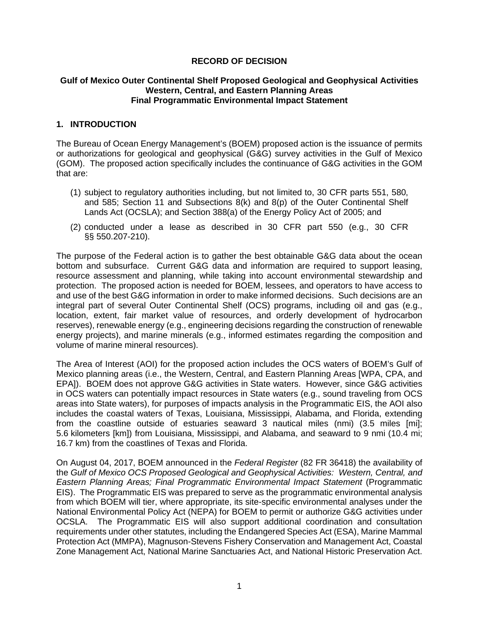### **RECORD OF DECISION**

#### **Gulf of Mexico Outer Continental Shelf Proposed Geological and Geophysical Activities Western, Central, and Eastern Planning Areas Final Programmatic Environmental Impact Statement**

### **1. INTRODUCTION**

The Bureau of Ocean Energy Management's (BOEM) proposed action is the issuance of permits or authorizations for geological and geophysical (G&G) survey activities in the Gulf of Mexico (GOM). The proposed action specifically includes the continuance of G&G activities in the GOM that are:

- (1) subject to regulatory authorities including, but not limited to, 30 CFR parts 551, 580, and 585; Section 11 and Subsections 8(k) and 8(p) of the Outer Continental Shelf Lands Act (OCSLA); and Section 388(a) of the Energy Policy Act of 2005; and
- (2) conducted under a lease as described in 30 CFR part 550 (e.g., 30 CFR §§ 550.207-210).

The purpose of the Federal action is to gather the best obtainable G&G data about the ocean bottom and subsurface. Current G&G data and information are required to support leasing, resource assessment and planning, while taking into account environmental stewardship and protection. The proposed action is needed for BOEM, lessees, and operators to have access to and use of the best G&G information in order to make informed decisions. Such decisions are an integral part of several Outer Continental Shelf (OCS) programs, including oil and gas (e.g., location, extent, fair market value of resources, and orderly development of hydrocarbon reserves), renewable energy (e.g., engineering decisions regarding the construction of renewable energy projects), and marine minerals (e.g., informed estimates regarding the composition and volume of marine mineral resources).

The Area of Interest (AOI) for the proposed action includes the OCS waters of BOEM's Gulf of Mexico planning areas (i.e., the Western, Central, and Eastern Planning Areas [WPA, CPA, and EPA]). BOEM does not approve G&G activities in State waters. However, since G&G activities in OCS waters can potentially impact resources in State waters (e.g., sound traveling from OCS areas into State waters), for purposes of impacts analysis in the Programmatic EIS, the AOI also includes the coastal waters of Texas, Louisiana, Mississippi, Alabama, and Florida, extending from the coastline outside of estuaries seaward 3 nautical miles (nmi) (3.5 miles [mi]; 5.6 kilometers [km]) from Louisiana, Mississippi, and Alabama, and seaward to 9 nmi (10.4 mi; 16.7 km) from the coastlines of Texas and Florida.

On August 04, 2017, BOEM announced in the *Federal Register* (82 FR 36418) the availability of the *Gulf of Mexico OCS Proposed Geological and Geophysical Activities: Western, Central, and Eastern Planning Areas; Final Programmatic Environmental Impact Statement* (Programmatic EIS). The Programmatic EIS was prepared to serve as the programmatic environmental analysis from which BOEM will tier, where appropriate, its site-specific environmental analyses under the National Environmental Policy Act (NEPA) for BOEM to permit or authorize G&G activities under OCSLA. The Programmatic EIS will also support additional coordination and consultation requirements under other statutes, including the Endangered Species Act (ESA), Marine Mammal Protection Act (MMPA), Magnuson-Stevens Fishery Conservation and Management Act, Coastal Zone Management Act, National Marine Sanctuaries Act, and National Historic Preservation Act.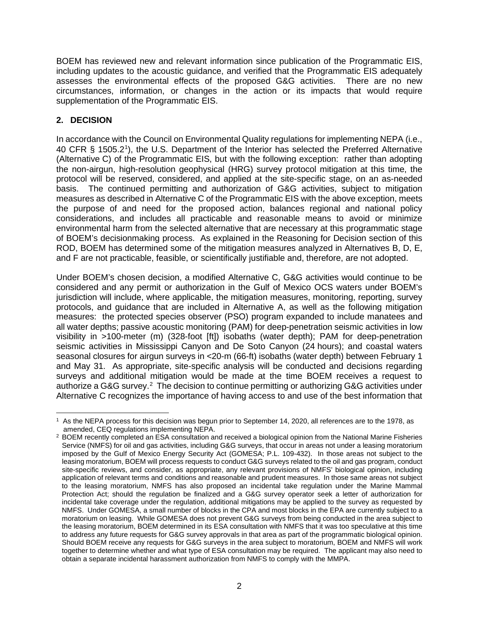BOEM has reviewed new and relevant information since publication of the Programmatic EIS, including updates to the acoustic guidance, and verified that the Programmatic EIS adequately assesses the environmental effects of the proposed G&G activities. There are no new circumstances, information, or changes in the action or its impacts that would require supplementation of the Programmatic EIS.

## **2. DECISION**

In accordance with the Council on Environmental Quality regulations for implementing NEPA (i.e., 40 CFR § 1505.2<sup>1</sup>), the U.S. Department of the Interior has selected the Preferred Alternative (Alternative C) of the Programmatic EIS, but with the following exception: rather than adopting the non-airgun, high-resolution geophysical (HRG) survey protocol mitigation at this time, the protocol will be reserved, considered, and applied at the site-specific stage, on an as-needed basis. The continued permitting and authorization of G&G activities, subject to mitigation measures as described in Alternative C of the Programmatic EIS with the above exception, meets the purpose of and need for the proposed action, balances regional and national policy considerations, and includes all practicable and reasonable means to avoid or minimize environmental harm from the selected alternative that are necessary at this programmatic stage of BOEM's decisionmaking process. As explained in the Reasoning for Decision section of this ROD, BOEM has determined some of the mitigation measures analyzed in Alternatives B, D, E, and F are not practicable, feasible, or scientifically justifiable and, therefore, are not adopted.

Under BOEM's chosen decision, a modified Alternative C, G&G activities would continue to be considered and any permit or authorization in the Gulf of Mexico OCS waters under BOEM's jurisdiction will include, where applicable, the mitigation measures, monitoring, reporting, survey protocols, and guidance that are included in Alternative A, as well as the following mitigation measures: the protected species observer (PSO) program expanded to include manatees and all water depths; passive acoustic monitoring (PAM) for deep-penetration seismic activities in low visibility in >100-meter (m) (328-foot [ft]) isobaths (water depth); PAM for deep-penetration seismic activities in Mississippi Canyon and De Soto Canyon (24 hours); and coastal waters seasonal closures for airgun surveys in <20-m (66-ft) isobaths (water depth) between February 1 and May 31. As appropriate, site-specific analysis will be conducted and decisions regarding surveys and additional mitigation would be made at the time BOEM receives a request to authorize a G&G survey.<sup>[2](#page-1-1)</sup> The decision to continue permitting or authorizing G&G activities under Alternative C recognizes the importance of having access to and use of the best information that

<span id="page-1-0"></span><sup>1</sup> As the NEPA process for this decision was begun prior to September 14, 2020, all references are to the 1978, as amended, CEQ regulations implementing NEPA.

<span id="page-1-1"></span><sup>&</sup>lt;sup>2</sup> BOEM recently completed an ESA consultation and received a biological opinion from the National Marine Fisheries Service (NMFS) for oil and gas activities, including G&G surveys, that occur in areas not under a leasing moratorium imposed by the Gulf of Mexico Energy Security Act (GOMESA; P.L. 109-432). In those areas not subject to the leasing moratorium, BOEM will process requests to conduct G&G surveys related to the oil and gas program, conduct site-specific reviews, and consider, as appropriate, any relevant provisions of NMFS' biological opinion, including application of relevant terms and conditions and reasonable and prudent measures. In those same areas not subject to the leasing moratorium, NMFS has also proposed an incidental take regulation under the Marine Mammal Protection Act; should the regulation be finalized and a G&G survey operator seek a letter of authorization for incidental take coverage under the regulation, additional mitigations may be applied to the survey as requested by NMFS. Under GOMESA, a small number of blocks in the CPA and most blocks in the EPA are currently subject to a moratorium on leasing. While GOMESA does not prevent G&G surveys from being conducted in the area subject to the leasing moratorium, BOEM determined in its ESA consultation with NMFS that it was too speculative at this time to address any future requests for G&G survey approvals in that area as part of the programmatic biological opinion. Should BOEM receive any requests for G&G surveys in the area subject to moratorium, BOEM and NMFS will work together to determine whether and what type of ESA consultation may be required. The applicant may also need to obtain a separate incidental harassment authorization from NMFS to comply with the MMPA.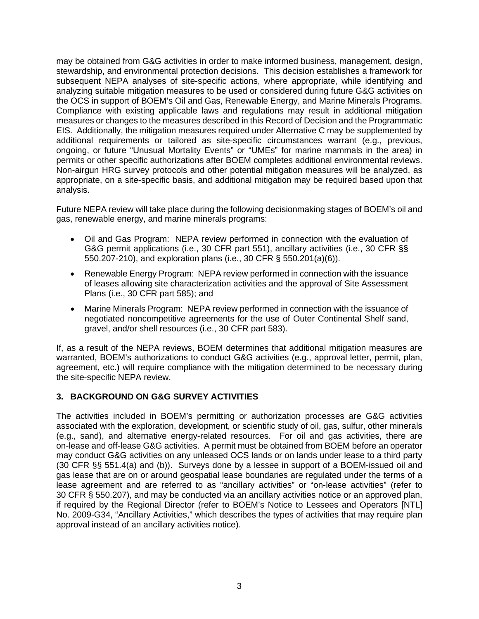may be obtained from G&G activities in order to make informed business, management, design, stewardship, and environmental protection decisions. This decision establishes a framework for subsequent NEPA analyses of site-specific actions, where appropriate, while identifying and analyzing suitable mitigation measures to be used or considered during future G&G activities on the OCS in support of BOEM's Oil and Gas, Renewable Energy, and Marine Minerals Programs. Compliance with existing applicable laws and regulations may result in additional mitigation measures or changes to the measures described in this Record of Decision and the Programmatic EIS. Additionally, the mitigation measures required under Alternative C may be supplemented by additional requirements or tailored as site-specific circumstances warrant (e.g., previous, ongoing, or future "Unusual Mortality Events" or "UMEs" for marine mammals in the area) in permits or other specific authorizations after BOEM completes additional environmental reviews. Non-airgun HRG survey protocols and other potential mitigation measures will be analyzed, as appropriate, on a site-specific basis, and additional mitigation may be required based upon that analysis.

Future NEPA review will take place during the following decisionmaking stages of BOEM's oil and gas, renewable energy, and marine minerals programs:

- Oil and Gas Program: NEPA review performed in connection with the evaluation of G&G permit applications (i.e., 30 CFR part 551), ancillary activities (i.e., 30 CFR §§ 550.207-210), and exploration plans (i.e., 30 CFR § 550.201(a)(6)).
- Renewable Energy Program: NEPA review performed in connection with the issuance of leases allowing site characterization activities and the approval of Site Assessment Plans (i.e., 30 CFR part 585); and
- Marine Minerals Program: NEPA review performed in connection with the issuance of negotiated noncompetitive agreements for the use of Outer Continental Shelf sand, gravel, and/or shell resources (i.e., 30 CFR part 583).

If, as a result of the NEPA reviews, BOEM determines that additional mitigation measures are warranted, BOEM's authorizations to conduct G&G activities (e.g., approval letter, permit, plan, agreement, etc.) will require compliance with the mitigation determined to be necessary during the site-specific NEPA review.

# **3. BACKGROUND ON G&G SURVEY ACTIVITIES**

The activities included in BOEM's permitting or authorization processes are G&G activities associated with the exploration, development, or scientific study of oil, gas, sulfur, other minerals (e.g., sand), and alternative energy-related resources. For oil and gas activities, there are on-lease and off-lease G&G activities. A permit must be obtained from BOEM before an operator may conduct G&G activities on any unleased OCS lands or on lands under lease to a third party (30 CFR §§ 551.4(a) and (b)). Surveys done by a lessee in support of a BOEM-issued oil and gas lease that are on or around geospatial lease boundaries are regulated under the terms of a lease agreement and are referred to as "ancillary activities" or "on-lease activities" (refer to 30 CFR § 550.207), and may be conducted via an ancillary activities notice or an approved plan, if required by the Regional Director (refer to BOEM's Notice to Lessees and Operators [NTL] No. 2009-G34, "Ancillary Activities," which describes the types of activities that may require plan approval instead of an ancillary activities notice).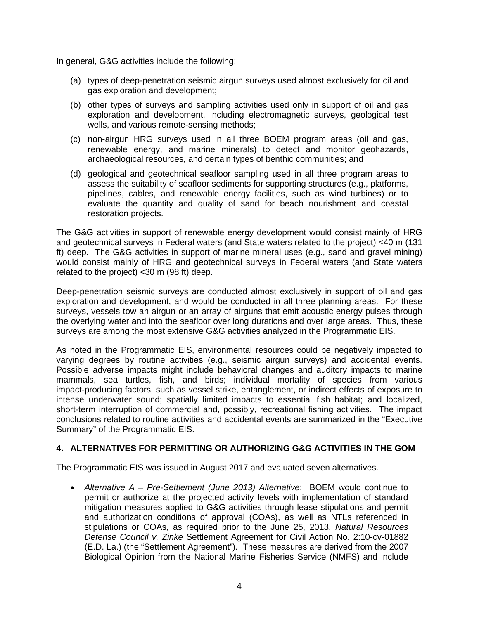In general, G&G activities include the following:

- (a) types of deep-penetration seismic airgun surveys used almost exclusively for oil and gas exploration and development;
- (b) other types of surveys and sampling activities used only in support of oil and gas exploration and development, including electromagnetic surveys, geological test wells, and various remote-sensing methods;
- (c) non-airgun HRG surveys used in all three BOEM program areas (oil and gas, renewable energy, and marine minerals) to detect and monitor geohazards, archaeological resources, and certain types of benthic communities; and
- (d) geological and geotechnical seafloor sampling used in all three program areas to assess the suitability of seafloor sediments for supporting structures (e.g., platforms, pipelines, cables, and renewable energy facilities, such as wind turbines) or to evaluate the quantity and quality of sand for beach nourishment and coastal restoration projects.

The G&G activities in support of renewable energy development would consist mainly of HRG and geotechnical surveys in Federal waters (and State waters related to the project) <40 m (131 ft) deep. The G&G activities in support of marine mineral uses (e.g., sand and gravel mining) would consist mainly of HRG and geotechnical surveys in Federal waters (and State waters related to the project) <30 m (98 ft) deep.

Deep-penetration seismic surveys are conducted almost exclusively in support of oil and gas exploration and development, and would be conducted in all three planning areas. For these surveys, vessels tow an airgun or an array of airguns that emit acoustic energy pulses through the overlying water and into the seafloor over long durations and over large areas. Thus, these surveys are among the most extensive G&G activities analyzed in the Programmatic EIS.

As noted in the Programmatic EIS, environmental resources could be negatively impacted to varying degrees by routine activities (e.g., seismic airgun surveys) and accidental events. Possible adverse impacts might include behavioral changes and auditory impacts to marine mammals, sea turtles, fish, and birds; individual mortality of species from various impact-producing factors, such as vessel strike, entanglement, or indirect effects of exposure to intense underwater sound; spatially limited impacts to essential fish habitat; and localized, short-term interruption of commercial and, possibly, recreational fishing activities. The impact conclusions related to routine activities and accidental events are summarized in the "Executive Summary" of the Programmatic EIS.

# **4. ALTERNATIVES FOR PERMITTING OR AUTHORIZING G&G ACTIVITIES IN THE GOM**

The Programmatic EIS was issued in August 2017 and evaluated seven alternatives.

• *Alternative A – Pre-Settlement (June 2013) Alternative*: BOEM would continue to permit or authorize at the projected activity levels with implementation of standard mitigation measures applied to G&G activities through lease stipulations and permit and authorization conditions of approval (COAs), as well as NTLs referenced in stipulations or COAs, as required prior to the June 25, 2013, *Natural Resources Defense Council v. Zinke* Settlement Agreement for Civil Action No. 2:10-cv-01882 (E.D. La.) (the "Settlement Agreement"). These measures are derived from the 2007 Biological Opinion from the National Marine Fisheries Service (NMFS) and include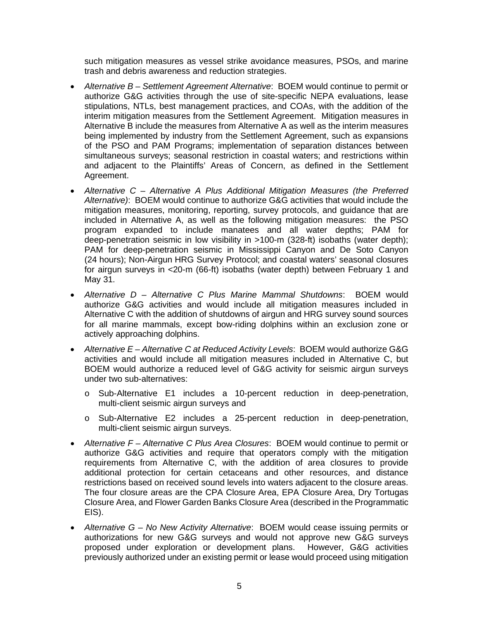such mitigation measures as vessel strike avoidance measures, PSOs, and marine trash and debris awareness and reduction strategies.

- *Alternative B – Settlement Agreement Alternative*: BOEM would continue to permit or authorize G&G activities through the use of site-specific NEPA evaluations, lease stipulations, NTLs, best management practices, and COAs, with the addition of the interim mitigation measures from the Settlement Agreement. Mitigation measures in Alternative B include the measures from Alternative A as well as the interim measures being implemented by industry from the Settlement Agreement, such as expansions of the PSO and PAM Programs; implementation of separation distances between simultaneous surveys; seasonal restriction in coastal waters; and restrictions within and adjacent to the Plaintiffs' Areas of Concern, as defined in the Settlement Agreement.
- *Alternative C – Alternative A Plus Additional Mitigation Measures (the Preferred Alternative)*: BOEM would continue to authorize G&G activities that would include the mitigation measures, monitoring, reporting, survey protocols, and guidance that are included in Alternative A, as well as the following mitigation measures: the PSO program expanded to include manatees and all water depths; PAM for deep-penetration seismic in low visibility in >100-m (328-ft) isobaths (water depth); PAM for deep-penetration seismic in Mississippi Canyon and De Soto Canyon (24 hours); Non-Airgun HRG Survey Protocol; and coastal waters' seasonal closures for airgun surveys in <20-m (66-ft) isobaths (water depth) between February 1 and May 31.
- *Alternative D – Alternative C Plus Marine Mammal Shutdowns*: BOEM would authorize G&G activities and would include all mitigation measures included in Alternative C with the addition of shutdowns of airgun and HRG survey sound sources for all marine mammals, except bow-riding dolphins within an exclusion zone or actively approaching dolphins.
- *Alternative E – Alternative C at Reduced Activity Levels*: BOEM would authorize G&G activities and would include all mitigation measures included in Alternative C, but BOEM would authorize a reduced level of G&G activity for seismic airgun surveys under two sub-alternatives:
	- o Sub-Alternative E1 includes a 10-percent reduction in deep-penetration, multi-client seismic airgun surveys and
	- o Sub-Alternative E2 includes a 25-percent reduction in deep-penetration, multi-client seismic airgun surveys.
- *Alternative F – Alternative C Plus Area Closures*: BOEM would continue to permit or authorize G&G activities and require that operators comply with the mitigation requirements from Alternative C, with the addition of area closures to provide additional protection for certain cetaceans and other resources, and distance restrictions based on received sound levels into waters adjacent to the closure areas. The four closure areas are the CPA Closure Area, EPA Closure Area, Dry Tortugas Closure Area, and Flower Garden Banks Closure Area (described in the Programmatic EIS).
- *Alternative G – No New Activity Alternative*: BOEM would cease issuing permits or authorizations for new G&G surveys and would not approve new G&G surveys proposed under exploration or development plans. However, G&G activities previously authorized under an existing permit or lease would proceed using mitigation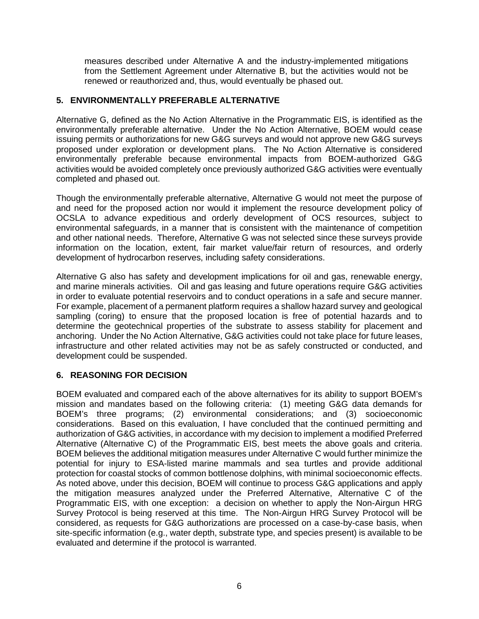measures described under Alternative A and the industry-implemented mitigations from the Settlement Agreement under Alternative B, but the activities would not be renewed or reauthorized and, thus, would eventually be phased out.

## **5. ENVIRONMENTALLY PREFERABLE ALTERNATIVE**

Alternative G, defined as the No Action Alternative in the Programmatic EIS, is identified as the environmentally preferable alternative. Under the No Action Alternative, BOEM would cease issuing permits or authorizations for new G&G surveys and would not approve new G&G surveys proposed under exploration or development plans. The No Action Alternative is considered environmentally preferable because environmental impacts from BOEM-authorized G&G activities would be avoided completely once previously authorized G&G activities were eventually completed and phased out.

Though the environmentally preferable alternative, Alternative G would not meet the purpose of and need for the proposed action nor would it implement the resource development policy of OCSLA to advance expeditious and orderly development of OCS resources, subject to environmental safeguards, in a manner that is consistent with the maintenance of competition and other national needs. Therefore, Alternative G was not selected since these surveys provide information on the location, extent, fair market value/fair return of resources, and orderly development of hydrocarbon reserves, including safety considerations.

Alternative G also has safety and development implications for oil and gas, renewable energy, and marine minerals activities. Oil and gas leasing and future operations require G&G activities in order to evaluate potential reservoirs and to conduct operations in a safe and secure manner. For example, placement of a permanent platform requires a shallow hazard survey and geological sampling (coring) to ensure that the proposed location is free of potential hazards and to determine the geotechnical properties of the substrate to assess stability for placement and anchoring. Under the No Action Alternative, G&G activities could not take place for future leases, infrastructure and other related activities may not be as safely constructed or conducted, and development could be suspended.

### **6. REASONING FOR DECISION**

BOEM evaluated and compared each of the above alternatives for its ability to support BOEM's mission and mandates based on the following criteria: (1) meeting G&G data demands for BOEM's three programs; (2) environmental considerations; and (3) socioeconomic considerations. Based on this evaluation, I have concluded that the continued permitting and authorization of G&G activities, in accordance with my decision to implement a modified Preferred Alternative (Alternative C) of the Programmatic EIS, best meets the above goals and criteria. BOEM believes the additional mitigation measures under Alternative C would further minimize the potential for injury to ESA-listed marine mammals and sea turtles and provide additional protection for coastal stocks of common bottlenose dolphins, with minimal socioeconomic effects. As noted above, under this decision, BOEM will continue to process G&G applications and apply the mitigation measures analyzed under the Preferred Alternative, Alternative C of the Programmatic EIS, with one exception: a decision on whether to apply the Non-Airgun HRG Survey Protocol is being reserved at this time. The Non-Airgun HRG Survey Protocol will be considered, as requests for G&G authorizations are processed on a case-by-case basis, when site-specific information (e.g., water depth, substrate type, and species present) is available to be evaluated and determine if the protocol is warranted.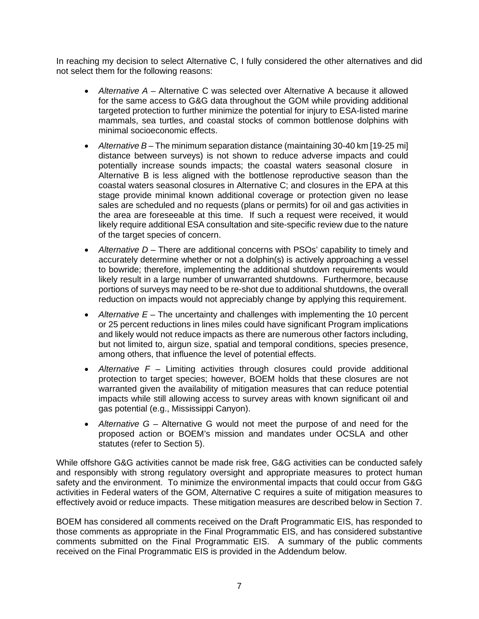In reaching my decision to select Alternative C, I fully considered the other alternatives and did not select them for the following reasons:

- *Alternative A* Alternative C was selected over Alternative A because it allowed for the same access to G&G data throughout the GOM while providing additional targeted protection to further minimize the potential for injury to ESA-listed marine mammals, sea turtles, and coastal stocks of common bottlenose dolphins with minimal socioeconomic effects.
- *Alternative B* The minimum separation distance (maintaining 30-40 km [19-25 mi] distance between surveys) is not shown to reduce adverse impacts and could potentially increase sounds impacts; the coastal waters seasonal closure in Alternative B is less aligned with the bottlenose reproductive season than the coastal waters seasonal closures in Alternative C; and closures in the EPA at this stage provide minimal known additional coverage or protection given no lease sales are scheduled and no requests (plans or permits) for oil and gas activities in the area are foreseeable at this time. If such a request were received, it would likely require additional ESA consultation and site-specific review due to the nature of the target species of concern.
- *Alternative D* There are additional concerns with PSOs' capability to timely and accurately determine whether or not a dolphin(s) is actively approaching a vessel to bowride; therefore, implementing the additional shutdown requirements would likely result in a large number of unwarranted shutdowns. Furthermore, because portions of surveys may need to be re-shot due to additional shutdowns, the overall reduction on impacts would not appreciably change by applying this requirement.
- *Alternative E* The uncertainty and challenges with implementing the 10 percent or 25 percent reductions in lines miles could have significant Program implications and likely would not reduce impacts as there are numerous other factors including, but not limited to, airgun size, spatial and temporal conditions, species presence, among others, that influence the level of potential effects.
- *Alternative F* Limiting activities through closures could provide additional protection to target species; however, BOEM holds that these closures are not warranted given the availability of mitigation measures that can reduce potential impacts while still allowing access to survey areas with known significant oil and gas potential (e.g., Mississippi Canyon).
- *Alternative G* Alternative G would not meet the purpose of and need for the proposed action or BOEM's mission and mandates under OCSLA and other statutes (refer to Section 5).

While offshore G&G activities cannot be made risk free, G&G activities can be conducted safely and responsibly with strong regulatory oversight and appropriate measures to protect human safety and the environment. To minimize the environmental impacts that could occur from G&G activities in Federal waters of the GOM, Alternative C requires a suite of mitigation measures to effectively avoid or reduce impacts. These mitigation measures are described below in Section 7.

BOEM has considered all comments received on the Draft Programmatic EIS, has responded to those comments as appropriate in the Final Programmatic EIS, and has considered substantive comments submitted on the Final Programmatic EIS. A summary of the public comments received on the Final Programmatic EIS is provided in the Addendum below.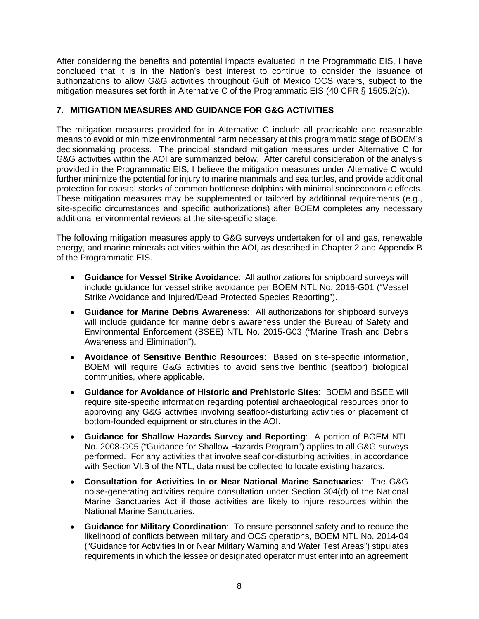After considering the benefits and potential impacts evaluated in the Programmatic EIS, I have concluded that it is in the Nation's best interest to continue to consider the issuance of authorizations to allow G&G activities throughout Gulf of Mexico OCS waters, subject to the mitigation measures set forth in Alternative C of the Programmatic EIS (40 CFR § 1505.2(c)).

# **7. MITIGATION MEASURES AND GUIDANCE FOR G&G ACTIVITIES**

The mitigation measures provided for in Alternative C include all practicable and reasonable means to avoid or minimize environmental harm necessary at this programmatic stage of BOEM's decisionmaking process. The principal standard mitigation measures under Alternative C for G&G activities within the AOI are summarized below. After careful consideration of the analysis provided in the Programmatic EIS, I believe the mitigation measures under Alternative C would further minimize the potential for injury to marine mammals and sea turtles, and provide additional protection for coastal stocks of common bottlenose dolphins with minimal socioeconomic effects. These mitigation measures may be supplemented or tailored by additional requirements (e.g., site-specific circumstances and specific authorizations) after BOEM completes any necessary additional environmental reviews at the site-specific stage.

The following mitigation measures apply to G&G surveys undertaken for oil and gas, renewable energy, and marine minerals activities within the AOI, as described in Chapter 2 and Appendix B of the Programmatic EIS.

- **Guidance for Vessel Strike Avoidance**: All authorizations for shipboard surveys will include guidance for vessel strike avoidance per BOEM NTL No. 2016-G01 ("Vessel Strike Avoidance and Injured/Dead Protected Species Reporting").
- **Guidance for Marine Debris Awareness**: All authorizations for shipboard surveys will include guidance for marine debris awareness under the Bureau of Safety and Environmental Enforcement (BSEE) NTL No. 2015-G03 ("Marine Trash and Debris Awareness and Elimination").
- **Avoidance of Sensitive Benthic Resources**: Based on site-specific information, BOEM will require G&G activities to avoid sensitive benthic (seafloor) biological communities, where applicable.
- **Guidance for Avoidance of Historic and Prehistoric Sites**: BOEM and BSEE will require site-specific information regarding potential archaeological resources prior to approving any G&G activities involving seafloor-disturbing activities or placement of bottom-founded equipment or structures in the AOI.
- **Guidance for Shallow Hazards Survey and Reporting**: A portion of BOEM NTL No. 2008-G05 ("Guidance for Shallow Hazards Program") applies to all G&G surveys performed. For any activities that involve seafloor-disturbing activities, in accordance with Section VI.B of the NTL, data must be collected to locate existing hazards.
- **Consultation for Activities In or Near National Marine Sanctuaries**: The G&G noise-generating activities require consultation under Section 304(d) of the National Marine Sanctuaries Act if those activities are likely to injure resources within the National Marine Sanctuaries.
- **Guidance for Military Coordination**: To ensure personnel safety and to reduce the likelihood of conflicts between military and OCS operations, BOEM NTL No. 2014-04 ("Guidance for Activities In or Near Military Warning and Water Test Areas") stipulates requirements in which the lessee or designated operator must enter into an agreement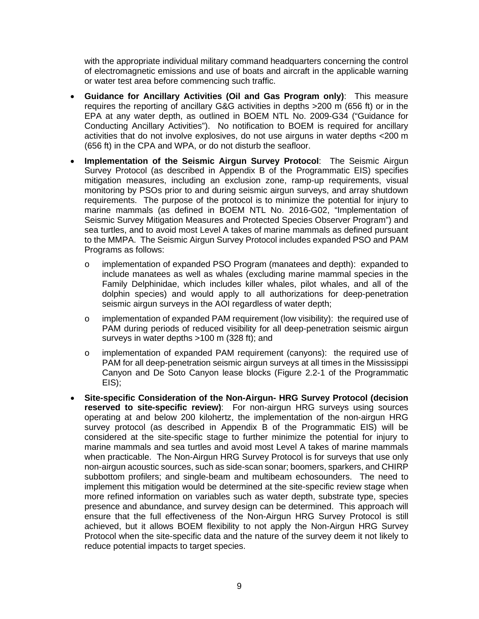with the appropriate individual military command headquarters concerning the control of electromagnetic emissions and use of boats and aircraft in the applicable warning or water test area before commencing such traffic.

- **Guidance for Ancillary Activities (Oil and Gas Program only)**: This measure requires the reporting of ancillary G&G activities in depths >200 m (656 ft) or in the EPA at any water depth, as outlined in BOEM NTL No. 2009-G34 ("Guidance for Conducting Ancillary Activities"). No notification to BOEM is required for ancillary activities that do not involve explosives, do not use airguns in water depths <200 m (656 ft) in the CPA and WPA, or do not disturb the seafloor.
- **Implementation of the Seismic Airgun Survey Protocol**: The Seismic Airgun Survey Protocol (as described in Appendix B of the Programmatic EIS) specifies mitigation measures, including an exclusion zone, ramp-up requirements, visual monitoring by PSOs prior to and during seismic airgun surveys, and array shutdown requirements. The purpose of the protocol is to minimize the potential for injury to marine mammals (as defined in BOEM NTL No. 2016-G02, "Implementation of Seismic Survey Mitigation Measures and Protected Species Observer Program") and sea turtles, and to avoid most Level A takes of marine mammals as defined pursuant to the MMPA. The Seismic Airgun Survey Protocol includes expanded PSO and PAM Programs as follows:
	- o implementation of expanded PSO Program (manatees and depth): expanded to include manatees as well as whales (excluding marine mammal species in the Family Delphinidae, which includes killer whales, pilot whales, and all of the dolphin species) and would apply to all authorizations for deep-penetration seismic airgun surveys in the AOI regardless of water depth;
	- o implementation of expanded PAM requirement (low visibility): the required use of PAM during periods of reduced visibility for all deep-penetration seismic airgun surveys in water depths >100 m (328 ft); and
	- o implementation of expanded PAM requirement (canyons): the required use of PAM for all deep-penetration seismic airgun surveys at all times in the Mississippi Canyon and De Soto Canyon lease blocks (Figure 2.2-1 of the Programmatic EIS);
- **Site-specific Consideration of the Non-Airgun- HRG Survey Protocol (decision reserved to site-specific review)**: For non-airgun HRG surveys using sources operating at and below 200 kilohertz, the implementation of the non-airgun HRG survey protocol (as described in Appendix B of the Programmatic EIS) will be considered at the site-specific stage to further minimize the potential for injury to marine mammals and sea turtles and avoid most Level A takes of marine mammals when practicable. The Non-Airgun HRG Survey Protocol is for surveys that use only non-airgun acoustic sources, such as side-scan sonar; boomers, sparkers, and CHIRP subbottom profilers; and single-beam and multibeam echosounders. The need to implement this mitigation would be determined at the site-specific review stage when more refined information on variables such as water depth, substrate type, species presence and abundance, and survey design can be determined. This approach will ensure that the full effectiveness of the Non-Airgun HRG Survey Protocol is still achieved, but it allows BOEM flexibility to not apply the Non-Airgun HRG Survey Protocol when the site-specific data and the nature of the survey deem it not likely to reduce potential impacts to target species.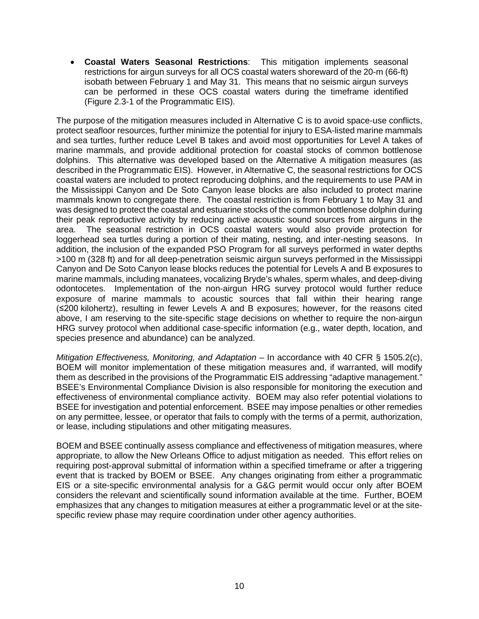• **Coastal Waters Seasonal Restrictions**: This mitigation implements seasonal restrictions for airgun surveys for all OCS coastal waters shoreward of the 20-m (66-ft) isobath between February 1 and May 31. This means that no seismic airgun surveys can be performed in these OCS coastal waters during the timeframe identified (Figure 2.3-1 of the Programmatic EIS).

The purpose of the mitigation measures included in Alternative C is to avoid space-use conflicts, protect seafloor resources, further minimize the potential for injury to ESA-listed marine mammals and sea turtles, further reduce Level B takes and avoid most opportunities for Level A takes of marine mammals, and provide additional protection for coastal stocks of common bottlenose dolphins. This alternative was developed based on the Alternative A mitigation measures (as described in the Programmatic EIS). However, in Alternative C, the seasonal restrictions for OCS coastal waters are included to protect reproducing dolphins, and the requirements to use PAM in the Mississippi Canyon and De Soto Canyon lease blocks are also included to protect marine mammals known to congregate there. The coastal restriction is from February 1 to May 31 and was designed to protect the coastal and estuarine stocks of the common bottlenose dolphin during their peak reproductive activity by reducing active acoustic sound sources from airguns in the area. The seasonal restriction in OCS coastal waters would also provide protection for loggerhead sea turtles during a portion of their mating, nesting, and inter-nesting seasons. In addition, the inclusion of the expanded PSO Program for all surveys performed in water depths >100 m (328 ft) and for all deep-penetration seismic airgun surveys performed in the Mississippi Canyon and De Soto Canyon lease blocks reduces the potential for Levels A and B exposures to marine mammals, including manatees, vocalizing Bryde's whales, sperm whales, and deep-diving odontocetes. Implementation of the non-airgun HRG survey protocol would further reduce exposure of marine mammals to acoustic sources that fall within their hearing range (≤200 kilohertz), resulting in fewer Levels A and B exposures; however, for the reasons cited above, I am reserving to the site-specific stage decisions on whether to require the non-airgun HRG survey protocol when additional case-specific information (e.g., water depth, location, and species presence and abundance) can be analyzed.

*Mitigation Effectiveness, Monitoring, and Adaptation* – In accordance with 40 CFR § 1505.2(c), BOEM will monitor implementation of these mitigation measures and, if warranted, will modify them as described in the provisions of the Programmatic EIS addressing "adaptive management." BSEE's Environmental Compliance Division is also responsible for monitoring the execution and effectiveness of environmental compliance activity. BOEM may also refer potential violations to BSEE for investigation and potential enforcement. BSEE may impose penalties or other remedies on any permittee, lessee, or operator that fails to comply with the terms of a permit, authorization, or lease, including stipulations and other mitigating measures.

BOEM and BSEE continually assess compliance and effectiveness of mitigation measures, where appropriate, to allow the New Orleans Office to adjust mitigation as needed. This effort relies on requiring post-approval submittal of information within a specified timeframe or after a triggering event that is tracked by BOEM or BSEE. Any changes originating from either a programmatic EIS or a site-specific environmental analysis for a G&G permit would occur only after BOEM considers the relevant and scientifically sound information available at the time. Further, BOEM emphasizes that any changes to mitigation measures at either a programmatic level or at the sitespecific review phase may require coordination under other agency authorities.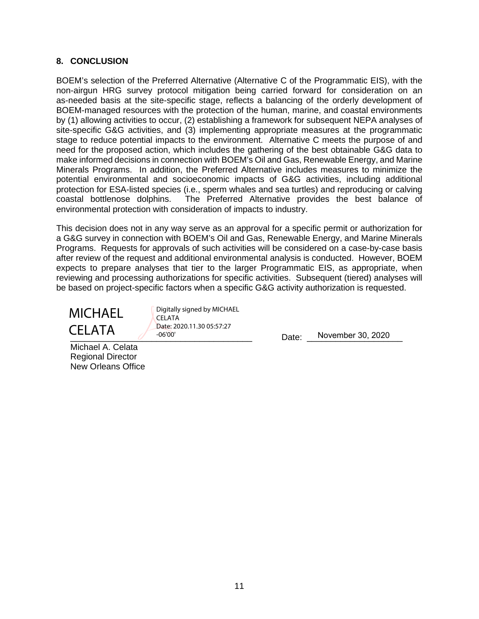### **8. CONCLUSION**

BOEM's selection of the Preferred Alternative (Alternative C of the Programmatic EIS), with the non-airgun HRG survey protocol mitigation being carried forward for consideration on an as-needed basis at the site-specific stage, reflects a balancing of the orderly development of BOEM-managed resources with the protection of the human, marine, and coastal environments by (1) allowing activities to occur, (2) establishing a framework for subsequent NEPA analyses of site-specific G&G activities, and (3) implementing appropriate measures at the programmatic stage to reduce potential impacts to the environment. Alternative C meets the purpose of and need for the proposed action, which includes the gathering of the best obtainable G&G data to make informed decisions in connection with BOEM's Oil and Gas, Renewable Energy, and Marine Minerals Programs. In addition, the Preferred Alternative includes measures to minimize the potential environmental and socioeconomic impacts of G&G activities, including additional protection for ESA-listed species (i.e., sperm whales and sea turtles) and reproducing or calving coastal bottlenose dolphins. The Preferred Alternative provides the best balance of environmental protection with consideration of impacts to industry.

This decision does not in any way serve as an approval for a specific permit or authorization for a G&G survey in connection with BOEM's Oil and Gas, Renewable Energy, and Marine Minerals Programs. Requests for approvals of such activities will be considered on a case-by-case basis after review of the request and additional environmental analysis is conducted. However, BOEM expects to prepare analyses that tier to the larger Programmatic EIS, as appropriate, when reviewing and processing authorizations for specific activities. Subsequent (tiered) analyses will be based on project-specific factors when a specific G&G activity authorization is requested.

**MICHAEL** CELATA

Digitally signed by MICHAEL CELATA Date: 2020.11.30 05:57:27 -06'00'

**CLLATT 7** -06'00' - -06'00' Date: <u>November 30, 2020</u>

Michael A. Celata Regional Director New Orleans Office